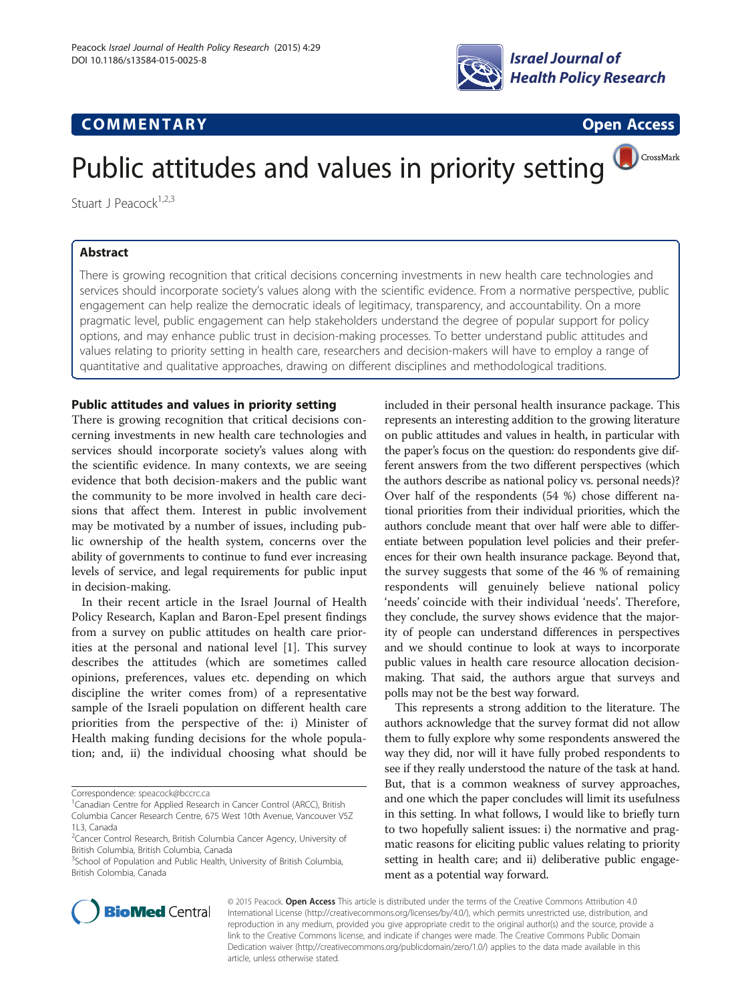

# **COMMENTARY COMMENTARY COMMENTARY**

CrossMark

# Public attitudes and values in priority setting

Stuart J Peacock $1,2,3$ 

# Abstract

There is growing recognition that critical decisions concerning investments in new health care technologies and services should incorporate society's values along with the scientific evidence. From a normative perspective, public engagement can help realize the democratic ideals of legitimacy, transparency, and accountability. On a more pragmatic level, public engagement can help stakeholders understand the degree of popular support for policy options, and may enhance public trust in decision-making processes. To better understand public attitudes and values relating to priority setting in health care, researchers and decision-makers will have to employ a range of quantitative and qualitative approaches, drawing on different disciplines and methodological traditions.

# Public attitudes and values in priority setting

There is growing recognition that critical decisions concerning investments in new health care technologies and services should incorporate society's values along with the scientific evidence. In many contexts, we are seeing evidence that both decision-makers and the public want the community to be more involved in health care decisions that affect them. Interest in public involvement may be motivated by a number of issues, including public ownership of the health system, concerns over the ability of governments to continue to fund ever increasing levels of service, and legal requirements for public input in decision-making.

In their recent article in the Israel Journal of Health Policy Research, Kaplan and Baron-Epel present findings from a survey on public attitudes on health care priorities at the personal and national level [\[1](#page-2-0)]. This survey describes the attitudes (which are sometimes called opinions, preferences, values etc. depending on which discipline the writer comes from) of a representative sample of the Israeli population on different health care priorities from the perspective of the: i) Minister of Health making funding decisions for the whole population; and, ii) the individual choosing what should be

Correspondence: [speacock@bccrc.ca](mailto:speacock@bccrc.ca) <sup>1</sup>

included in their personal health insurance package. This represents an interesting addition to the growing literature on public attitudes and values in health, in particular with the paper's focus on the question: do respondents give different answers from the two different perspectives (which the authors describe as national policy vs. personal needs)? Over half of the respondents (54 %) chose different national priorities from their individual priorities, which the authors conclude meant that over half were able to differentiate between population level policies and their preferences for their own health insurance package. Beyond that, the survey suggests that some of the 46 % of remaining respondents will genuinely believe national policy 'needs' coincide with their individual 'needs'. Therefore, they conclude, the survey shows evidence that the majority of people can understand differences in perspectives and we should continue to look at ways to incorporate public values in health care resource allocation decisionmaking. That said, the authors argue that surveys and polls may not be the best way forward.

This represents a strong addition to the literature. The authors acknowledge that the survey format did not allow them to fully explore why some respondents answered the way they did, nor will it have fully probed respondents to see if they really understood the nature of the task at hand. But, that is a common weakness of survey approaches, and one which the paper concludes will limit its usefulness in this setting. In what follows, I would like to briefly turn to two hopefully salient issues: i) the normative and pragmatic reasons for eliciting public values relating to priority setting in health care; and ii) deliberative public engagement as a potential way forward.



© 2015 Peacock. Open Access This article is distributed under the terms of the Creative Commons Attribution 4.0 International License [\(http://creativecommons.org/licenses/by/4.0/\)](http://creativecommons.org/licenses/by/4.0/), which permits unrestricted use, distribution, and reproduction in any medium, provided you give appropriate credit to the original author(s) and the source, provide a link to the Creative Commons license, and indicate if changes were made. The Creative Commons Public Domain Dedication waiver ([http://creativecommons.org/publicdomain/zero/1.0/\)](http://creativecommons.org/publicdomain/zero/1.0/) applies to the data made available in this article, unless otherwise stated.

<sup>&</sup>lt;sup>1</sup> Canadian Centre for Applied Research in Cancer Control (ARCC), British Columbia Cancer Research Centre, 675 West 10th Avenue, Vancouver V5Z 1L3, Canada

<sup>&</sup>lt;sup>2</sup> Cancer Control Research, British Columbia Cancer Agency, University of British Columbia, British Columbia, Canada

<sup>&</sup>lt;sup>3</sup>School of Population and Public Health, University of British Columbia, British Colombia, Canada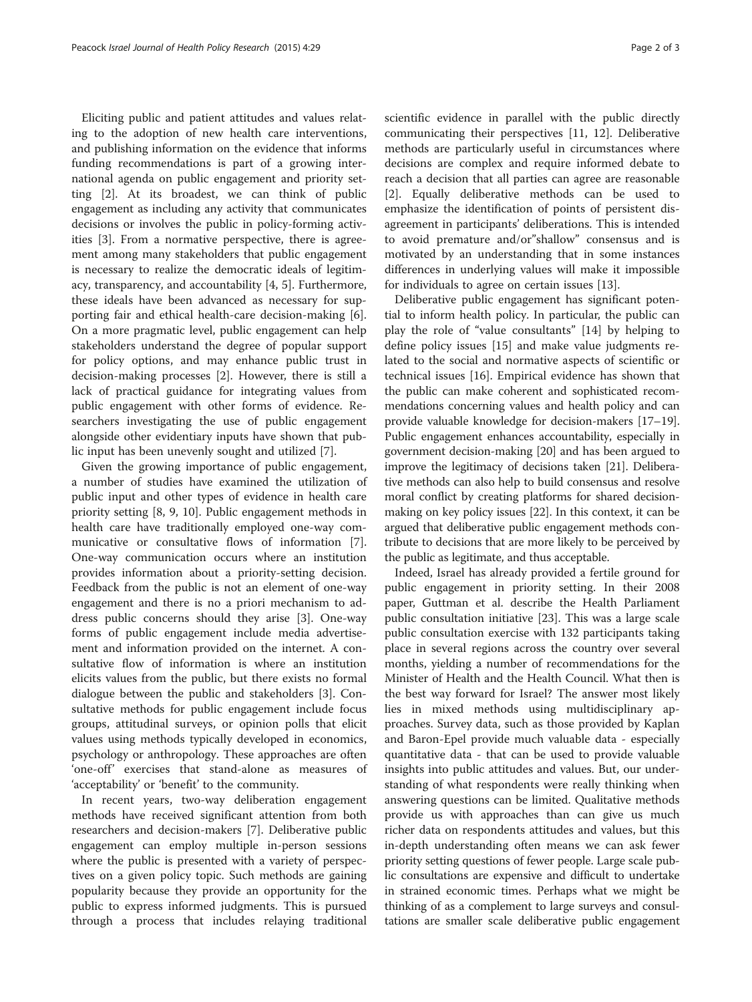Eliciting public and patient attitudes and values relating to the adoption of new health care interventions, and publishing information on the evidence that informs funding recommendations is part of a growing international agenda on public engagement and priority setting [\[2](#page-2-0)]. At its broadest, we can think of public engagement as including any activity that communicates decisions or involves the public in policy-forming activities [[3\]](#page-2-0). From a normative perspective, there is agreement among many stakeholders that public engagement is necessary to realize the democratic ideals of legitimacy, transparency, and accountability [\[4](#page-2-0), [5](#page-2-0)]. Furthermore, these ideals have been advanced as necessary for supporting fair and ethical health-care decision-making [\[6](#page-2-0)]. On a more pragmatic level, public engagement can help stakeholders understand the degree of popular support for policy options, and may enhance public trust in decision-making processes [\[2](#page-2-0)]. However, there is still a lack of practical guidance for integrating values from public engagement with other forms of evidence. Researchers investigating the use of public engagement alongside other evidentiary inputs have shown that public input has been unevenly sought and utilized [[7](#page-2-0)].

Given the growing importance of public engagement, a number of studies have examined the utilization of public input and other types of evidence in health care priority setting [[8, 9](#page-2-0), [10](#page-2-0)]. Public engagement methods in health care have traditionally employed one-way communicative or consultative flows of information [\[7](#page-2-0)]. One-way communication occurs where an institution provides information about a priority-setting decision. Feedback from the public is not an element of one-way engagement and there is no a priori mechanism to address public concerns should they arise [\[3](#page-2-0)]. One-way forms of public engagement include media advertisement and information provided on the internet. A consultative flow of information is where an institution elicits values from the public, but there exists no formal dialogue between the public and stakeholders [[3\]](#page-2-0). Consultative methods for public engagement include focus groups, attitudinal surveys, or opinion polls that elicit values using methods typically developed in economics, psychology or anthropology. These approaches are often 'one-off' exercises that stand-alone as measures of 'acceptability' or 'benefit' to the community.

In recent years, two-way deliberation engagement methods have received significant attention from both researchers and decision-makers [[7\]](#page-2-0). Deliberative public engagement can employ multiple in-person sessions where the public is presented with a variety of perspectives on a given policy topic. Such methods are gaining popularity because they provide an opportunity for the public to express informed judgments. This is pursued through a process that includes relaying traditional

scientific evidence in parallel with the public directly communicating their perspectives [[11, 12\]](#page-2-0). Deliberative methods are particularly useful in circumstances where decisions are complex and require informed debate to reach a decision that all parties can agree are reasonable [[2\]](#page-2-0). Equally deliberative methods can be used to emphasize the identification of points of persistent disagreement in participants' deliberations. This is intended to avoid premature and/or"shallow" consensus and is motivated by an understanding that in some instances differences in underlying values will make it impossible for individuals to agree on certain issues [\[13](#page-2-0)].

Deliberative public engagement has significant potential to inform health policy. In particular, the public can play the role of "value consultants" [[14\]](#page-2-0) by helping to define policy issues [[15\]](#page-2-0) and make value judgments related to the social and normative aspects of scientific or technical issues [\[16](#page-2-0)]. Empirical evidence has shown that the public can make coherent and sophisticated recommendations concerning values and health policy and can provide valuable knowledge for decision-makers [\[17](#page-2-0)–[19](#page-2-0)]. Public engagement enhances accountability, especially in government decision-making [\[20\]](#page-2-0) and has been argued to improve the legitimacy of decisions taken [[21](#page-2-0)]. Deliberative methods can also help to build consensus and resolve moral conflict by creating platforms for shared decisionmaking on key policy issues [\[22](#page-2-0)]. In this context, it can be argued that deliberative public engagement methods contribute to decisions that are more likely to be perceived by the public as legitimate, and thus acceptable.

Indeed, Israel has already provided a fertile ground for public engagement in priority setting. In their 2008 paper, Guttman et al. describe the Health Parliament public consultation initiative [\[23\]](#page-2-0). This was a large scale public consultation exercise with 132 participants taking place in several regions across the country over several months, yielding a number of recommendations for the Minister of Health and the Health Council. What then is the best way forward for Israel? The answer most likely lies in mixed methods using multidisciplinary approaches. Survey data, such as those provided by Kaplan and Baron-Epel provide much valuable data - especially quantitative data - that can be used to provide valuable insights into public attitudes and values. But, our understanding of what respondents were really thinking when answering questions can be limited. Qualitative methods provide us with approaches than can give us much richer data on respondents attitudes and values, but this in-depth understanding often means we can ask fewer priority setting questions of fewer people. Large scale public consultations are expensive and difficult to undertake in strained economic times. Perhaps what we might be thinking of as a complement to large surveys and consultations are smaller scale deliberative public engagement